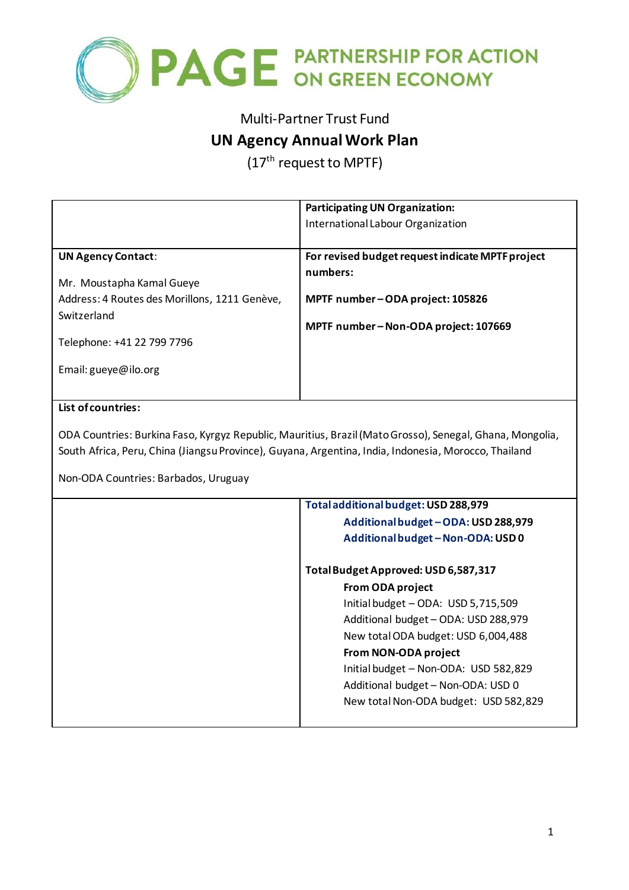

# Multi-Partner Trust Fund

## **UN Agency Annual Work Plan**

(17<sup>th</sup> request to MPTF)

|                                               | <b>Participating UN Organization:</b><br>International Labour Organization |  |  |  |
|-----------------------------------------------|----------------------------------------------------------------------------|--|--|--|
| <b>UN Agency Contact:</b>                     | For revised budget request indicate MPTF project                           |  |  |  |
| Mr. Moustapha Kamal Gueye                     | numbers:                                                                   |  |  |  |
| Address: 4 Routes des Morillons, 1211 Genève, | MPTF number-ODA project: 105826<br>MPTF number-Non-ODA project: 107669     |  |  |  |
| Switzerland                                   |                                                                            |  |  |  |
| Telephone: +41 22 799 7796                    |                                                                            |  |  |  |
| Email: $gueye@$ ilo.org                       |                                                                            |  |  |  |
| List of countries                             |                                                                            |  |  |  |

### **List of countries:**

ODA Countries: Burkina Faso, Kyrgyz Republic, Mauritius, Brazil (Mato Grosso), Senegal, Ghana, Mongolia, South Africa, Peru, China (Jiangsu Province), Guyana, Argentina, India, Indonesia, Morocco, Thailand

Non-ODA Countries: Barbados, Uruguay

| Total additional budget: USD 288,979  |
|---------------------------------------|
| Additional budget - ODA: USD 288,979  |
| Additional budget - Non-ODA: USD 0    |
| Total Budget Approved: USD 6,587,317  |
| <b>From ODA project</b>               |
| Initial budget - ODA: USD 5,715,509   |
| Additional budget - ODA: USD 288,979  |
| New total ODA budget: USD 6,004,488   |
| From NON-ODA project                  |
| Initial budget - Non-ODA: USD 582,829 |
| Additional budget - Non-ODA: USD 0    |
| New total Non-ODA budget: USD 582,829 |
|                                       |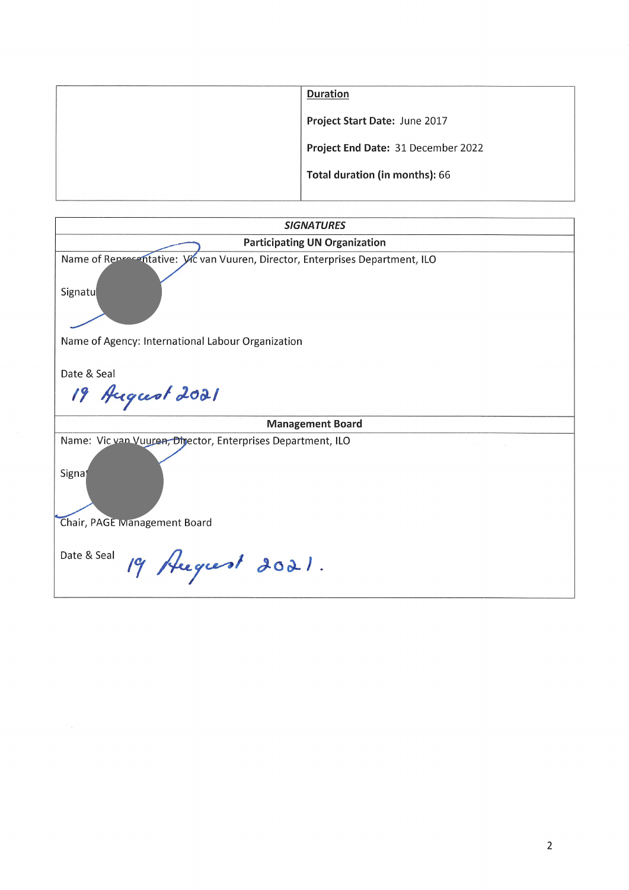| <b>Duration</b>                    |
|------------------------------------|
| Project Start Date: June 2017      |
| Project End Date: 31 December 2022 |
| Total duration (in months): 66     |
|                                    |

| <b>SIGNATURES</b>                                                                                     |  |  |  |  |
|-------------------------------------------------------------------------------------------------------|--|--|--|--|
| <b>Participating UN Organization</b>                                                                  |  |  |  |  |
| Name of Representative: Vic van Vuuren, Director, Enterprises Department, ILO<br>Signatu              |  |  |  |  |
| Name of Agency: International Labour Organization                                                     |  |  |  |  |
| Date & Seal                                                                                           |  |  |  |  |
| 19 August 2021                                                                                        |  |  |  |  |
| <b>Management Board</b>                                                                               |  |  |  |  |
| Name: Vic van Vuuren, Director, Enterprises Department, ILO<br>Signat<br>Chair, PAGE Management Board |  |  |  |  |
| Date & Seal<br>19 Hegrest 2021.                                                                       |  |  |  |  |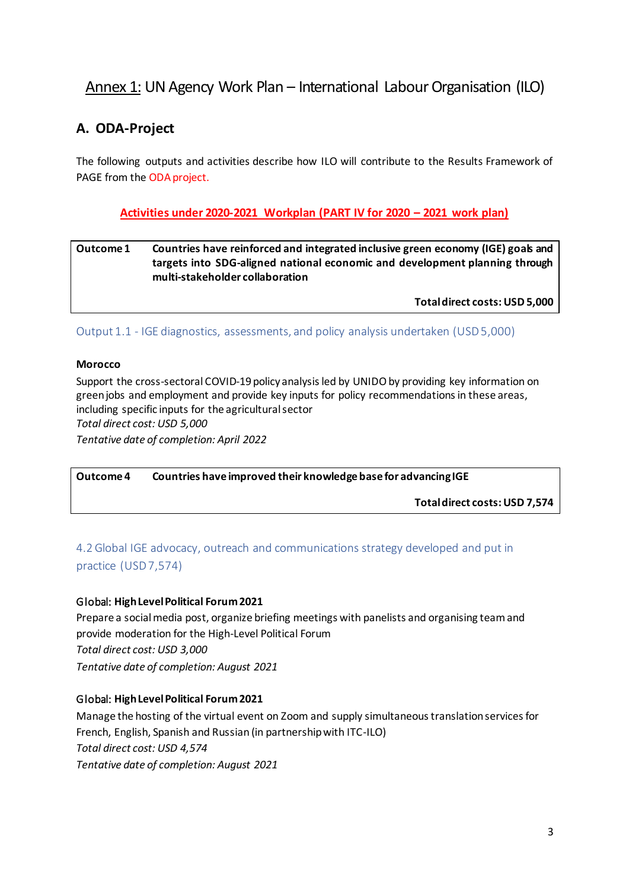# Annex 1: UN Agency Work Plan – International Labour Organisation (ILO)

# **A. ODA-Project**

The following outputs and activities describe how ILO will contribute to the Results Framework of PAGE from the ODA project.

### **Activities under 2020-2021 Workplan (PART IV for 2020 – 2021 work plan)**

#### **Outcome 1** Countries have reinforced and integrated inclusive green economy (IGE) goals and **targets into SDG-aligned national economic and development planning through multi-stakeholder collaboration**

**Total direct costs: USD 5,000**

Output 1.1 - IGE diagnostics, assessments, and policy analysis undertaken (USD5,000)

#### **Morocco**

Support the cross-sectoral COVID-19 policy analysis led by UNIDO by providing key information on green jobs and employment and provide key inputs for policy recommendations in these areas, including specific inputs for the agricultural sector *Total direct cost: USD 5,000 Tentative date of completion: April 2022*

**Outcome 4 Countries have improved their knowledge base for advancing IGE**

**Total direct costs: USD 7,574**

### 4.2 Global IGE advocacy, outreach and communications strategy developed and put in practice (USD 7,574)

#### Global: **High Level Political Forum 2021**

Prepare a social media post, organize briefing meetings with panelists and organising team and provide moderation for the High-Level Political Forum *Total direct cost: USD 3,000 Tentative date of completion: August 2021*

#### Global: **High Level Political Forum 2021**

Manage the hosting of the virtual event on Zoom and supply simultaneous translation services for French, English, Spanish and Russian (in partnership with ITC-ILO) *Total direct cost: USD 4,574 Tentative date of completion: August 2021*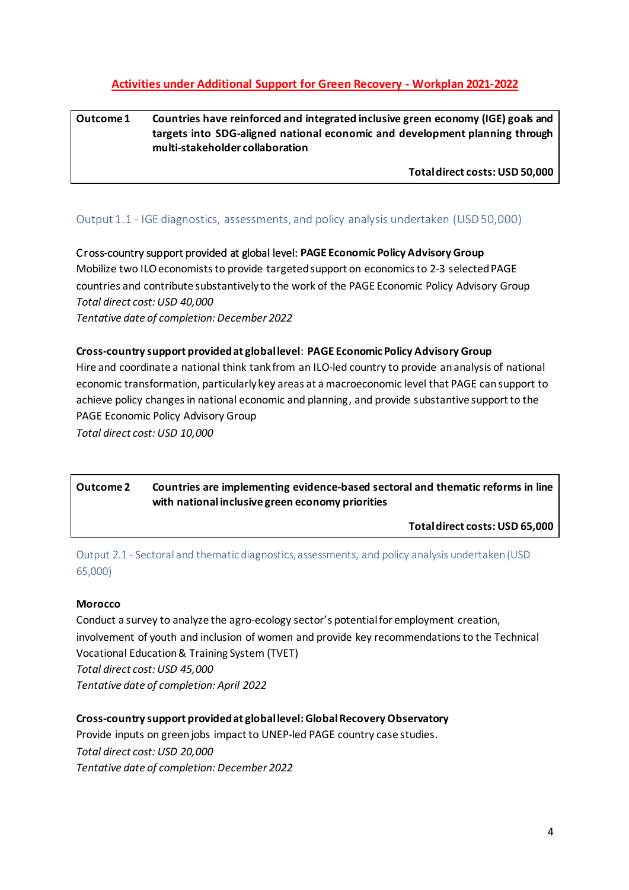### **Activities under Additional Support for Green Recovery - Workplan 2021-2022**

### **Outcome 1** Countries have reinforced and integrated inclusive green economy (IGE) goals and **targets into SDG-aligned national economic and development planning through multi-stakeholder collaboration**

**Total direct costs: USD 50,000**

#### Output 1.1 - IGE diagnostics, assessments, and policy analysis undertaken (USD50,000)

Cross-country support provided at global level: **PAGE Economic Policy Advisory Group**  Mobilize two ILO economists to provide targeted support on economics to 2-3 selected PAGE countries and contribute substantively to the work of the PAGE Economic Policy Advisory Group *Total direct cost: USD 40,000 Tentative date of completion: December 2022*

#### **Cross-country support provided at global level**: **PAGE Economic Policy Advisory Group**

Hire and coordinate a national think tank from an ILO-led country to provide ananalysis of national economic transformation, particularly key areas at a macroeconomic level that PAGE can support to achieve policy changes in national economic and planning, and provide substantive support to the PAGE Economic Policy Advisory Group *Total direct cost: USD 10,000*

**Outcome 2 Countries are implementing evidence-based sectoral and thematic reforms in line with national inclusive green economy priorities**

**Total direct costs: USD 65,000**

Output 2.1 - Sectoral and thematic diagnostics, assessments, and policy analysis undertaken (USD 65,000)

#### **Morocco**

Conduct a survey to analyze the agro-ecology sector's potential for employment creation, involvement of youth and inclusion of women and provide key recommendations to the Technical Vocational Education & Training System (TVET) *Total direct cost: USD 45,000 Tentative date of completion: April 2022*

#### **Cross-country support provided at global level: Global Recovery Observatory**

Provide inputs on green jobs impact to UNEP-led PAGE country case studies. *Total direct cost: USD 20,000 Tentative date of completion: December 2022*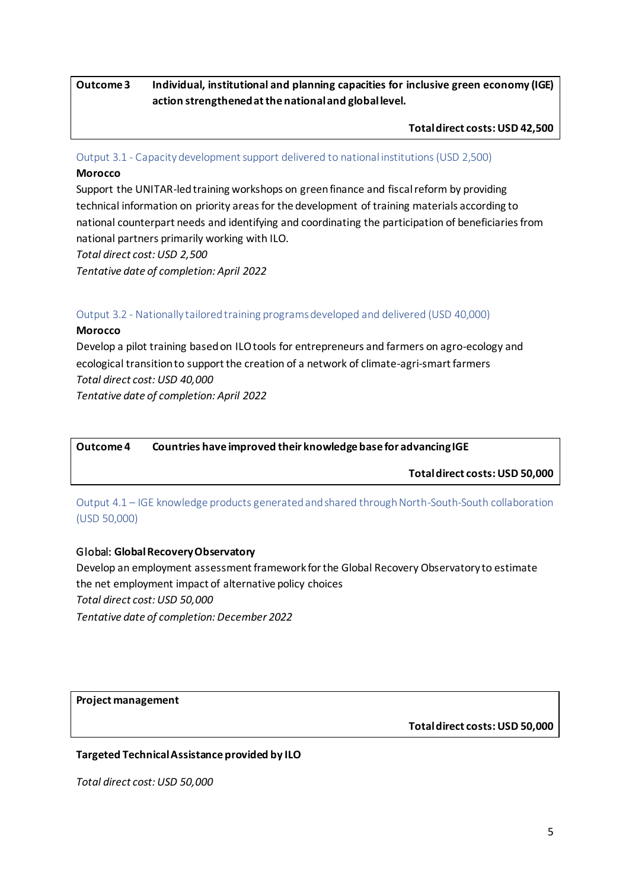**Outcome 3 Individual, institutional and planning capacities for inclusive green economy (IGE) action strengthened at the national and global level.**

**Total direct costs: USD 42,500**

Output 3.1 - Capacity development support delivered to national institutions (USD 2,500)

#### **Morocco**

Support the UNITAR-led training workshops on green finance and fiscal reform by providing technical information on priority areas for the development of training materials according to national counterpart needs and identifying and coordinating the participation of beneficiaries from national partners primarily working with ILO.

*Total direct cost: USD 2,500*

*Tentative date of completion: April 2022*

#### Output 3.2 - Nationally tailored training programs developed and delivered (USD 40,000)

#### **Morocco**

Develop a pilot training based on ILO tools for entrepreneurs and farmers on agro-ecology and ecological transition to support the creation of a network of climate-agri-smart farmers *Total direct cost: USD 40,000 Tentative date of completion: April 2022*

**Outcome 4 Countries have improved their knowledge base for advancing IGE**

**Total direct costs: USD 50,000**

Output 4.1 – IGE knowledge products generated and shared through North-South-South collaboration (USD 50,000)

#### Global: **Global Recovery Observatory**

Develop an employment assessment framework for the Global Recovery Observatory to estimate the net employment impact of alternative policy choices *Total direct cost: USD 50,000 Tentative date of completion: December 2022*

**Project management**

**Total direct costs: USD 50,000** 

#### **Targeted Technical Assistance provided by ILO**

*Total direct cost: USD 50,000*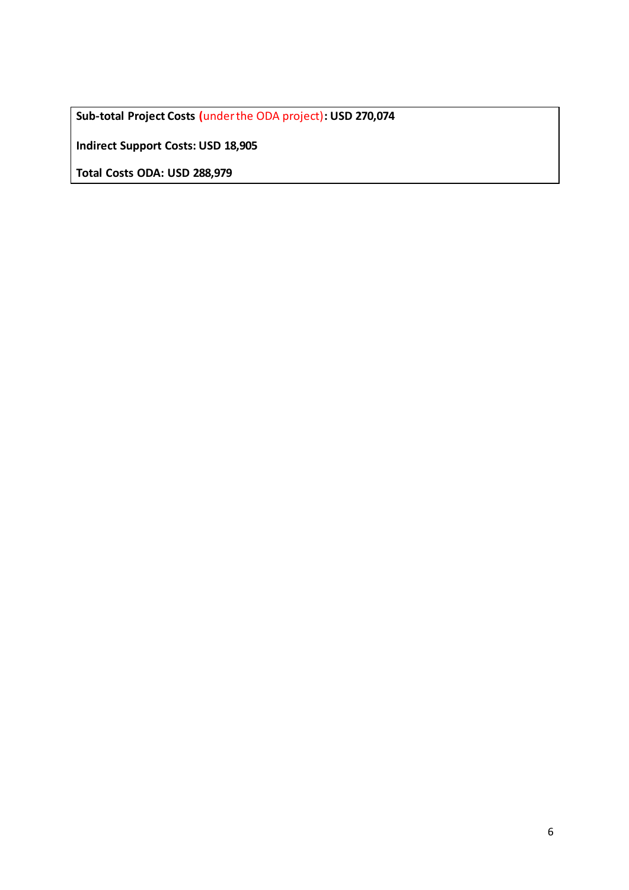**Sub-total Project Costs (**under the ODA project)**: USD 270,074**

**Indirect Support Costs: USD 18,905**

**Total Costs ODA: USD 288,979**